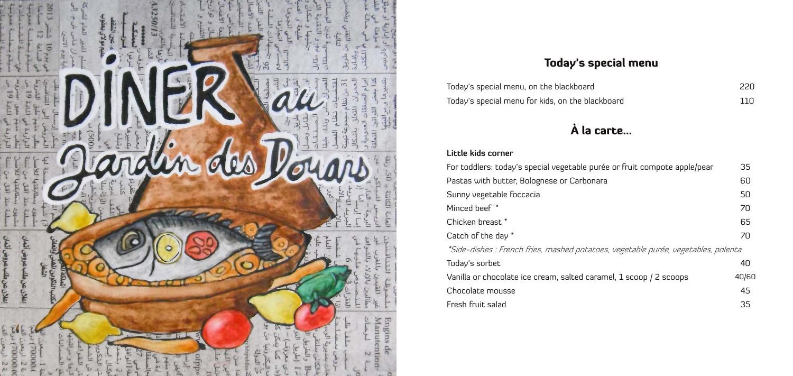

### Today's special menu

| Today's special menu, on the blackboard          | 220 |
|--------------------------------------------------|-----|
| Today's special menu for kids, on the blackboard | 110 |

# À la carte...

### **Little kids corner**

| For toddlers: today's special vegetable purée or fruit compote apple/pear          | 35    |
|------------------------------------------------------------------------------------|-------|
| Pastas with butter, Bolognese or Carbonara                                         | 60    |
| Sunny vegetable foccacia                                                           | 50    |
| Minced beef *                                                                      | 70    |
| Chicken breast *                                                                   | 65    |
| Catch of the day *                                                                 | 70    |
| *Side-dishes : French fries, mashed potatoes, vegetable purée, vegetables, polenta |       |
| Today's sorbet                                                                     | 40    |
| Vanilla or chocolate ice cream, salted caramel, 1 scoop / 2 scoops                 | 40/60 |
| Chocolate mousse                                                                   | 45    |
| Fresh fruit salad                                                                  | 35    |